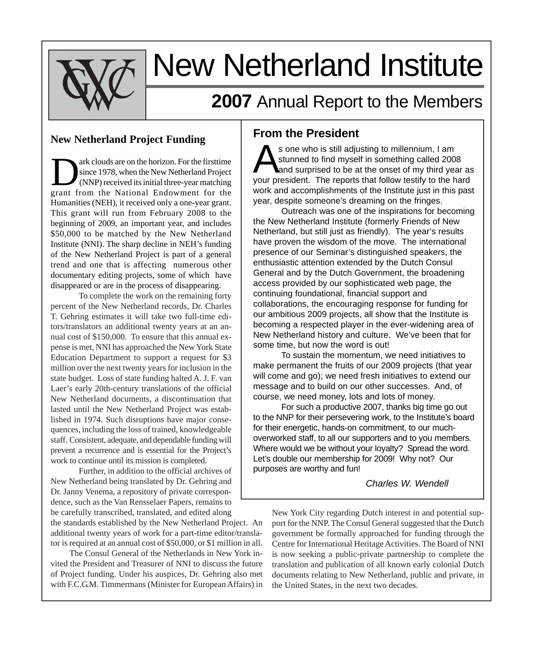

# New Netherland Institute

# **2007** Annual Report to the Members

#### **New Netherland Project Funding**

The Same on the horizon. For the first<br>time since 1978, when the New Netherland Project<br>(NNP) received its initial three-year matching<br>graph from the National Endowment for the since 1978, when the New Netherland Project grant from the National Endowment for the Humanities (NEH), it received only a one-year grant. This grant will run from February 2008 to the beginning of 2009, an important year, and includes \$50,000 to be matched by the New Netherland Institute (NNI). The sharp decline in NEH's funding of the New Netherland Project is part of a general trend and one that is affecting numerous other documentary editing projects, some of which have disappeared or are in the process of disappearing.

To complete the work on the remaining forty percent of the New Netherland records, Dr. Charles T. Gehring estimates it will take two full-time editors/translators an additional twenty years at an annual cost of \$150,000. To ensure that this annual expense is met, NNI has approached the New York State Education Department to support a request for \$3 million over the next twenty years for inclusion in the state budget. Loss of state funding halted A. J. F. van Laer's early 20th-century translations of the official New Netherland documents, a discontinuation that lasted until the New Netherland Project was established in 1974. Such disruptions have major consequences, including the loss of trained, knowledgeable staff. Consistent, adequate, and dependable funding will prevent a recurrence and is essential for the Project's work to continue until its mission is completed.

Further, in addition to the official archives of New Netherland being translated by Dr. Gehring and Dr. Janny Venema, a repository of private correspondence, such as the Van Rensselaer Papers, remains to be carefully transcribed, translated, and edited along

the standards established by the New Netherland Project. An additional twenty years of work for a part-time editor/translator is required at an annual cost of \$50,000, or \$1 million in all.

The Consul General of the Netherlands in New York invited the President and Treasurer of NNI to discuss the future of Project funding. Under his auspices, Dr. Gehring also met with F.C.G.M. Timmermans (Minister for European Affairs) in

#### **From the President**

s one who is still adjusting to millennium, I am<br>stunned to find myself in something called 2008<br>and surprised to be at the onset of my third year as stunned to find myself in something called 2008 your president. The reports that follow testify to the hard work and accomplishments of the Institute just in this past year, despite someone's dreaming on the fringes.

Outreach was one of the inspirations for becoming the New Netherland Institute (formerly Friends of New Netherland, but still just as friendly). The year's results have proven the wisdom of the move. The international presence of our Seminar's distinguished speakers, the enthusiastic attention extended by the Dutch Consul General and by the Dutch Government, the broadening access provided by our sophisticated web page, the continuing foundational, financial support and collaborations, the encouraging response for funding for our ambitious 2009 projects, all show that the Institute is becoming a respected player in the ever-widening area of New Netherland history and culture. We've been that for some time, but now the word is out!

To sustain the momentum, we need initiatives to make permanent the fruits of our 2009 projects (that year will come and go); we need fresh initiatives to extend our message and to build on our other successes. And, of course, we need money, lots and lots of money.

For such a productive 2007, thanks big time go out to the NNP for their persevering work, to the Institute's board for their energetic, hands-on commitment, to our muchoverworked staff, to all our supporters and to you members. Where would we be without your loyalty? Spread the word. Let's double our membership for 2009! Why not? Our purposes are worthy and fun!

*Charles W. Wendell*

New York City regarding Dutch interest in and potential support for the NNP. The Consul General suggested that the Dutch government be formally approached for funding through the Centre for International Heritage Activities. The Board of NNI is now seeking a public-private partnership to complete the translation and publication of all known early colonial Dutch documents relating to New Netherland, public and private, in the United States, in the next two decades.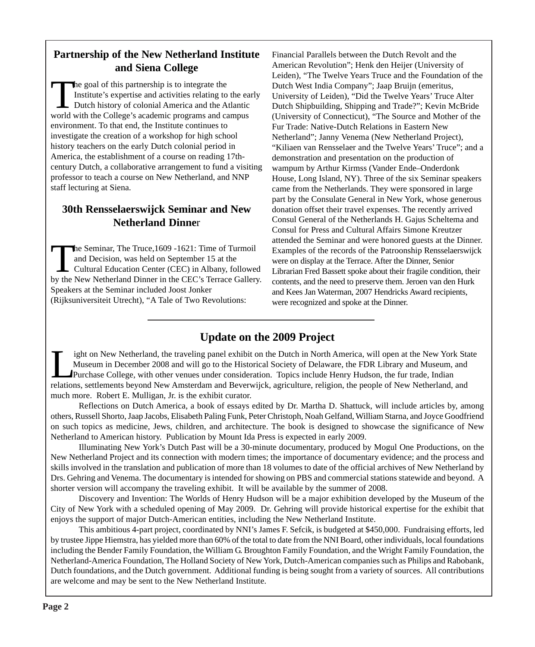#### **Partnership of the New Netherland Institute and Siena College**

The goal of this partnership is to integrate the<br>
Institute's expertise and activities relating to the ear<br>
Dutch history of colonial America and the Atlantic<br>
World with the College's acedemic programs and compus Institute's expertise and activities relating to the early world with the College's academic programs and campus environment. To that end, the Institute continues to investigate the creation of a workshop for high school history teachers on the early Dutch colonial period in America, the establishment of a course on reading 17thcentury Dutch, a collaborative arrangement to fund a visiting professor to teach a course on New Netherland, and NNP staff lecturing at Siena.

### **30th Rensselaerswijck Seminar and New Netherland Dinne**r

The Seminar, The Truce, 1609 - 1621: Time of Turmoil<br>and Decision, was held on September 15 at the<br>Cultural Education Center (CEC) in Albany, follower<br>by the New Netherland Dinner in the CEC's Terrace Galler and Decision, was held on September 15 at the Cultural Education Center (CEC) in Albany, followed by the New Netherland Dinner in the CEC's Terrace Gallery. Speakers at the Seminar included Joost Jonker (Rijksuniversiteit Utrecht), "A Tale of Two Revolutions:

Financial Parallels between the Dutch Revolt and the American Revolution"; Henk den Heijer (University of Leiden), "The Twelve Years Truce and the Foundation of the Dutch West India Company"; Jaap Bruijn (emeritus, University of Leiden), "Did the Twelve Years' Truce Alter Dutch Shipbuilding, Shipping and Trade?"; Kevin McBride (University of Connecticut), "The Source and Mother of the Fur Trade: Native-Dutch Relations in Eastern New Netherland"; Janny Venema (New Netherland Project), "Kiliaen van Rensselaer and the Twelve Years' Truce"; and a demonstration and presentation on the production of wampum by Arthur Kirmss (Vander Ende–Onderdonk House, Long Island, NY). Three of the six Seminar speakers came from the Netherlands. They were sponsored in large part by the Consulate General in New York, whose generous donation offset their travel expenses. The recently arrived Consul General of the Netherlands H. Gajus Scheltema and Consul for Press and Cultural Affairs Simone Kreutzer attended the Seminar and were honored guests at the Dinner. Examples of the records of the Patroonship Rensselaerswijck were on display at the Terrace. After the Dinner, Senior Librarian Fred Bassett spoke about their fragile condition, their contents, and the need to preserve them. Jeroen van den Hurk and Kees Jan Waterman, 2007 Hendricks Award recipients, were recognized and spoke at the Dinner.

## **Update on the 2009 Project**

Ight on New Netherland, the traveling panel exhibit on the Dutch in North America, will open at the New York State<br>Museum in December 2008 and will go to the Historical Society of Delaware, the FDR Library and Museum, and<br> Museum in December 2008 and will go to the Historical Society of Delaware, the FDR Library and Museum, and relations, settlements beyond New Amsterdam and Beverwijck, agriculture, religion, the people of New Netherland, and much more. Robert E. Mulligan, Jr. is the exhibit curator.

Reflections on Dutch America, a book of essays edited by Dr. Martha D. Shattuck, will include articles by, among others, Russell Shorto, Jaap Jacobs, Elisabeth Paling Funk, Peter Christoph, Noah Gelfand, William Starna, and Joyce Goodfriend on such topics as medicine, Jews, children, and architecture. The book is designed to showcase the significance of New Netherland to American history. Publication by Mount Ida Press is expected in early 2009.

Illuminating New York's Dutch Past will be a 30-minute documentary, produced by Mogul One Productions, on the New Netherland Project and its connection with modern times; the importance of documentary evidence; and the process and skills involved in the translation and publication of more than 18 volumes to date of the official archives of New Netherland by Drs. Gehring and Venema. The documentary is intended for showing on PBS and commercial stations statewide and beyond. A shorter version will accompany the traveling exhibit. It will be available by the summer of 2008.

Discovery and Invention: The Worlds of Henry Hudson will be a major exhibition developed by the Museum of the City of New York with a scheduled opening of May 2009. Dr. Gehring will provide historical expertise for the exhibit that enjoys the support of major Dutch-American entities, including the New Netherland Institute.

This ambitious 4-part project, coordinated by NNI's James F. Sefcik, is budgeted at \$450,000. Fundraising efforts, led by trustee Jippe Hiemstra, has yielded more than 60% of the total to date from the NNI Board, other individuals, local foundations including the Bender Family Foundation, the William G. Broughton Family Foundation, and the Wright Family Foundation, the Netherland-America Foundation, The Holland Society of New York, Dutch-American companies such as Philips and Rabobank, Dutch foundations, and the Dutch government. Additional funding is being sought from a variety of sources. All contributions are welcome and may be sent to the New Netherland Institute.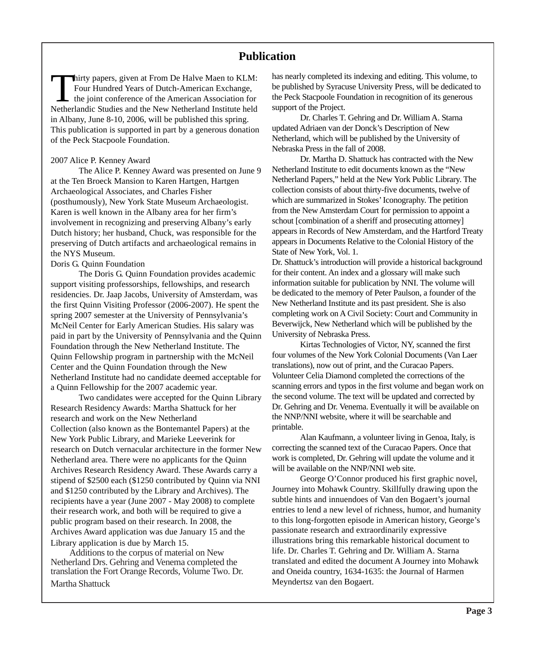#### **Publication**

Thirty papers, given at From De Halve Maen to KLM:<br>Four Hundred Years of Dutch-American Exchange,<br>the joint conference of the American Association for<br>National Institute held Four Hundred Years of Dutch-American Exchange, the joint conference of the American Association for Netherlandic Studies and the New Netherland Institute held in Albany, June 8-10, 2006, will be published this spring. This publication is supported in part by a generous donation of the Peck Stacpoole Foundation.

#### 2007 Alice P. Kenney Award

The Alice P. Kenney Award was presented on June 9 at the Ten Broeck Mansion to Karen Hartgen, Hartgen Archaeological Associates, and Charles Fisher (posthumously), New York State Museum Archaeologist. Karen is well known in the Albany area for her firm's involvement in recognizing and preserving Albany's early Dutch history; her husband, Chuck, was responsible for the preserving of Dutch artifacts and archaeological remains in the NYS Museum.

#### Doris G. Quinn Foundation

The Doris G. Quinn Foundation provides academic support visiting professorships, fellowships, and research residencies. Dr. Jaap Jacobs, University of Amsterdam, was the first Quinn Visiting Professor (2006-2007). He spent the spring 2007 semester at the University of Pennsylvania's McNeil Center for Early American Studies. His salary was paid in part by the University of Pennsylvania and the Quinn Foundation through the New Netherland Institute. The Quinn Fellowship program in partnership with the McNeil Center and the Quinn Foundation through the New Netherland Institute had no candidate deemed acceptable for a Quinn Fellowship for the 2007 academic year.

Two candidates were accepted for the Quinn Library Research Residency Awards: Martha Shattuck for her research and work on the New Netherland Collection (also known as the Bontemantel Papers) at the New York Public Library, and Marieke Leeverink for research on Dutch vernacular architecture in the former New Netherland area. There were no applicants for the Quinn Archives Research Residency Award. These Awards carry a stipend of \$2500 each (\$1250 contributed by Quinn via NNI and \$1250 contributed by the Library and Archives). The recipients have a year (June 2007 - May 2008) to complete their research work, and both will be required to give a public program based on their research. In 2008, the Archives Award application was due January 15 and the Library application is due by March 15.

Additions to the corpus of material on New Netherland Drs. Gehring and Venema completed the translation the Fort Orange Records, Volume Two. Dr. Martha Shattuck

has nearly completed its indexing and editing. This volume, to be published by Syracuse University Press, will be dedicated to the Peck Stacpoole Foundation in recognition of its generous support of the Project.

Dr. Charles T. Gehring and Dr. William A. Starna updated Adriaen van der Donck's Description of New Netherland, which will be published by the University of Nebraska Press in the fall of 2008.

Dr. Martha D. Shattuck has contracted with the New Netherland Institute to edit documents known as the "New Netherland Papers," held at the New York Public Library. The collection consists of about thirty-five documents, twelve of which are summarized in Stokes' Iconography. The petition from the New Amsterdam Court for permission to appoint a schout [combination of a sheriff and prosecuting attorney] appears in Records of New Amsterdam, and the Hartford Treaty appears in Documents Relative to the Colonial History of the State of New York, Vol. 1.

Dr. Shattuck's introduction will provide a historical background for their content. An index and a glossary will make such information suitable for publication by NNI. The volume will be dedicated to the memory of Peter Paulson, a founder of the New Netherland Institute and its past president. She is also completing work on A Civil Society: Court and Community in Beverwijck, New Netherland which will be published by the University of Nebraska Press.

Kirtas Technologies of Victor, NY, scanned the first four volumes of the New York Colonial Documents (Van Laer translations), now out of print, and the Curacao Papers. Volunteer Celia Diamond completed the corrections of the scanning errors and typos in the first volume and began work on the second volume. The text will be updated and corrected by Dr. Gehring and Dr. Venema. Eventually it will be available on the NNP/NNI website, where it will be searchable and printable.

Alan Kaufmann, a volunteer living in Genoa, Italy, is correcting the scanned text of the Curacao Papers. Once that work is completed, Dr. Gehring will update the volume and it will be available on the NNP/NNI web site.

George O'Connor produced his first graphic novel, Journey into Mohawk Country. Skillfully drawing upon the subtle hints and innuendoes of Van den Bogaert's journal entries to lend a new level of richness, humor, and humanity to this long-forgotten episode in American history, George's passionate research and extraordinarily expressive illustrations bring this remarkable historical document to life. Dr. Charles T. Gehring and Dr. William A. Starna translated and edited the document A Journey into Mohawk and Oneida country, 1634-1635: the Journal of Harmen Meyndertsz van den Bogaert.